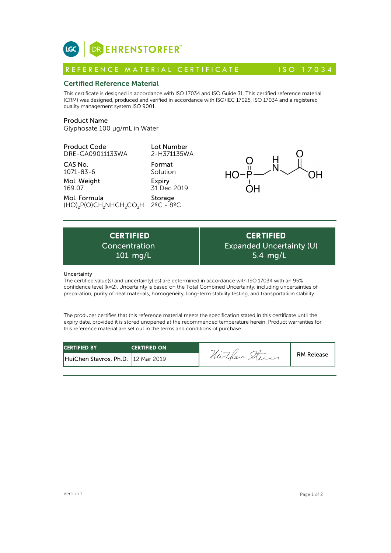

# Certified Reference Material

This certificate is designed in accordance with ISO 17034 and ISO Guide 31. This certified reference material (CRM) was designed, produced and verified in accordance with ISO/IEC 17025, ISO 17034 and a registered quality management system ISO 9001. **ICC**<br> **REFERENCE MATERIAL CERTIFICATE** ISO 17034<br> **Certified Reference Material**<br>
This certificate is designed in accordance with ISO 17034 and ISO Guide 31. This certified reference material<br>
CRM) was designed, produced

# Product Name

Glyphosate 100 µg/mL in Water

Product Code DRE-GA09011133WA

CAS No. 1071-83-6

Mol. Weight 169.07

Mol. Formula  $(HO)_2P(O)CH_2NHCH_2CO_2H$ 

Format Solution Expiry 31 Dec 2019

Lot Number

Storage 2ºC - 8ºC



Expiry<br>  $31 \text{ Dec } 2019$ <br>
Storage<br>
CH<sub>2</sub>CO<sub>2</sub>H  $2^{\circ}$ C -  $8^{\circ}$ C<br>
ERTIFIED<br>
ICH<sub>2</sub>CO<sub>2</sub>H  $2^{\circ}$ C -  $8^{\circ}$ C<br>
ERTIFIED<br>
ICH  $\text{L}$ CO2H  $\text{C}$  EXP Concentration



# **Uncertainty**

The certified value(s) and uncertainty(ies) are determined in accordance with ISO 17034 with an 95% confidence level (k=2). Uncertainty is based on the Total Combined Uncertainty, including uncertainties of preparation, purity of neat materials, homogeneity, long-term stability testing, and transportation stability.

The producer certifies that this reference material meets the specification stated in this certificate until the expiry date, provided it is stored unopened at the recommended temperature herein. Product warranties for this reference material are set out in the terms and conditions of purchase.

| <b>CERTIFIED BY</b>                  | <b>CERTIFIED ON</b> | nurchen | <b>RM Release</b> |
|--------------------------------------|---------------------|---------|-------------------|
| HuiChen Stavros, Ph.D.   12 Mar 2019 |                     |         |                   |